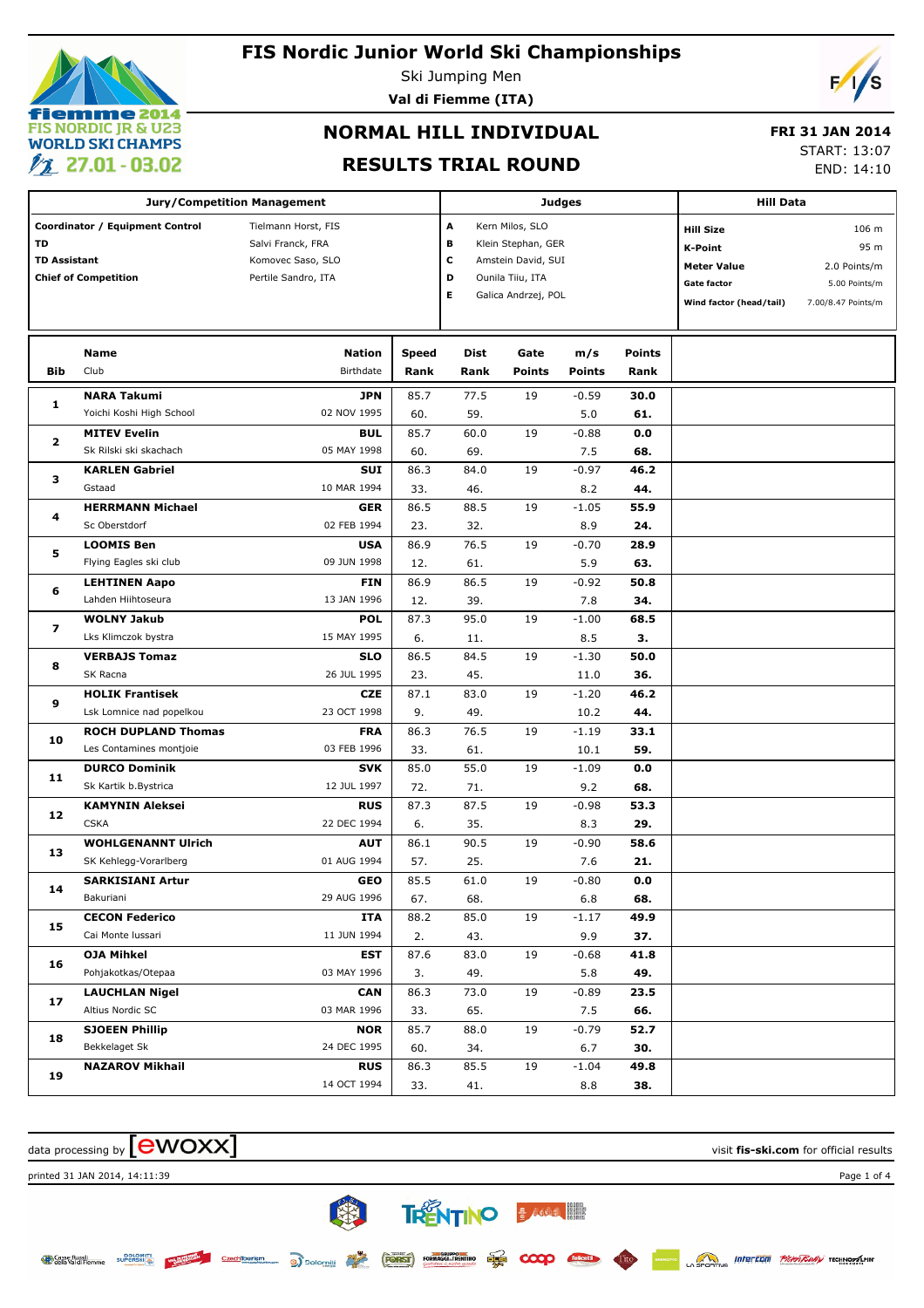

Ski Jumping Men

**Val di Fiemme (ITA)**



# **NORMAL HILL INDIVIDUAL**

### **FRI 31 JAN 2014**

### **RESULTS TRIAL ROUND**

START: 13:07

END: 14:10

|                                                                                             | <b>Jury/Competition Management</b> |                                                                                      |                      | <b>Judges</b>                                                                                                                   | <b>Hill Data</b>      |                      |                       |                                                                                                    |                                                                      |
|---------------------------------------------------------------------------------------------|------------------------------------|--------------------------------------------------------------------------------------|----------------------|---------------------------------------------------------------------------------------------------------------------------------|-----------------------|----------------------|-----------------------|----------------------------------------------------------------------------------------------------|----------------------------------------------------------------------|
| Coordinator / Equipment Control<br>TD<br><b>TD Assistant</b><br><b>Chief of Competition</b> |                                    | Tielmann Horst, FIS<br>Salvi Franck, FRA<br>Komovec Saso, SLO<br>Pertile Sandro, ITA |                      | А<br>Kern Milos, SLO<br>в<br>Klein Stephan, GER<br>с<br>Amstein David, SUI<br>D<br>Ounila Tiiu, ITA<br>Е<br>Galica Andrzej, POL |                       |                      |                       | <b>Hill Size</b><br>K-Point<br><b>Meter Value</b><br><b>Gate factor</b><br>Wind factor (head/tail) | 106 m<br>95 m<br>2.0 Points/m<br>5.00 Points/m<br>7.00/8.47 Points/m |
| Bib                                                                                         | Name<br>Club                       | Nation<br>Birthdate                                                                  | <b>Speed</b><br>Rank | Dist<br>Rank                                                                                                                    | Gate<br><b>Points</b> | m/s<br><b>Points</b> | <b>Points</b><br>Rank |                                                                                                    |                                                                      |
|                                                                                             | <b>NARA Takumi</b>                 | <b>JPN</b>                                                                           | 85.7                 | 77.5                                                                                                                            | 19                    | $-0.59$              | 30.0                  |                                                                                                    |                                                                      |
| 1                                                                                           | Yoichi Koshi High School           | 02 NOV 1995                                                                          | 60.                  | 59.                                                                                                                             |                       | 5.0                  | 61.                   |                                                                                                    |                                                                      |
|                                                                                             | <b>MITEV Evelin</b>                | <b>BUL</b>                                                                           | 85.7                 | 60.0                                                                                                                            | 19                    | $-0.88$              | 0.0                   |                                                                                                    |                                                                      |
| 2                                                                                           | Sk Rilski ski skachach             | 05 MAY 1998                                                                          | 60.                  | 69.                                                                                                                             |                       | 7.5                  | 68.                   |                                                                                                    |                                                                      |
|                                                                                             | <b>KARLEN Gabriel</b>              | <b>SUI</b>                                                                           | 86.3                 | 84.0                                                                                                                            | 19                    | $-0.97$              | 46.2                  |                                                                                                    |                                                                      |
| з                                                                                           | Gstaad                             | 10 MAR 1994                                                                          | 33.                  | 46.                                                                                                                             |                       | 8.2                  | 44.                   |                                                                                                    |                                                                      |
|                                                                                             | <b>HERRMANN Michael</b>            | <b>GER</b>                                                                           | 86.5                 | 88.5                                                                                                                            | 19                    | $-1.05$              | 55.9                  |                                                                                                    |                                                                      |
| 4                                                                                           | Sc Oberstdorf                      | 02 FEB 1994                                                                          | 23.                  | 32.                                                                                                                             |                       | 8.9                  | 24.                   |                                                                                                    |                                                                      |
|                                                                                             | <b>LOOMIS Ben</b>                  | <b>USA</b>                                                                           | 86.9                 | 76.5                                                                                                                            | 19                    | $-0.70$              | 28.9                  |                                                                                                    |                                                                      |
| 5                                                                                           | Flying Eagles ski club             | 09 JUN 1998                                                                          | 12.                  | 61.                                                                                                                             |                       | 5.9                  | 63.                   |                                                                                                    |                                                                      |
| 6                                                                                           | <b>LEHTINEN Aapo</b>               | <b>FIN</b>                                                                           | 86.9                 | 86.5                                                                                                                            | 19                    | $-0.92$              | 50.8                  |                                                                                                    |                                                                      |
|                                                                                             | Lahden Hiihtoseura                 | 13 JAN 1996                                                                          | 12.                  | 39.                                                                                                                             |                       | 7.8                  | 34.                   |                                                                                                    |                                                                      |
| 7                                                                                           | <b>WOLNY Jakub</b>                 | <b>POL</b>                                                                           | 87.3                 | 95.0                                                                                                                            | 19                    | $-1.00$              | 68.5                  |                                                                                                    |                                                                      |
|                                                                                             | Lks Klimczok bystra                | 15 MAY 1995                                                                          | 6.                   | 11.                                                                                                                             |                       | 8.5                  | з.                    |                                                                                                    |                                                                      |
| 8                                                                                           | <b>VERBAJS Tomaz</b>               | <b>SLO</b>                                                                           | 86.5                 | 84.5                                                                                                                            | 19                    | $-1.30$              | 50.0                  |                                                                                                    |                                                                      |
|                                                                                             | SK Racna                           | 26 JUL 1995                                                                          | 23.                  | 45.                                                                                                                             |                       | 11.0                 | 36.                   |                                                                                                    |                                                                      |
| 9                                                                                           | <b>HOLIK Frantisek</b>             | <b>CZE</b>                                                                           | 87.1                 | 83.0                                                                                                                            | 19                    | $-1.20$              | 46.2                  |                                                                                                    |                                                                      |
|                                                                                             | Lsk Lomnice nad popelkou           | 23 OCT 1998                                                                          | 9.                   | 49.                                                                                                                             |                       | 10.2                 | 44.                   |                                                                                                    |                                                                      |
| 10                                                                                          | <b>ROCH DUPLAND Thomas</b>         | <b>FRA</b>                                                                           | 86.3                 | 76.5                                                                                                                            | 19                    | $-1.19$              | 33.1                  |                                                                                                    |                                                                      |
|                                                                                             | Les Contamines montjoie            | 03 FEB 1996                                                                          | 33.                  | 61.                                                                                                                             |                       | 10.1                 | 59.                   |                                                                                                    |                                                                      |
| 11                                                                                          | <b>DURCO Dominik</b>               | <b>SVK</b>                                                                           | 85.0                 | 55.0                                                                                                                            | 19                    | $-1.09$              | 0.0                   |                                                                                                    |                                                                      |
|                                                                                             | Sk Kartik b.Bystrica               | 12 JUL 1997                                                                          | 72.                  | 71.                                                                                                                             |                       | 9.2                  | 68.                   |                                                                                                    |                                                                      |
| 12                                                                                          | <b>KAMYNIN Aleksei</b>             | <b>RUS</b>                                                                           | 87.3                 | 87.5                                                                                                                            | 19                    | $-0.98$              | 53.3                  |                                                                                                    |                                                                      |
|                                                                                             | <b>CSKA</b>                        | 22 DEC 1994                                                                          | 6.                   | 35.                                                                                                                             |                       | 8.3                  | 29.                   |                                                                                                    |                                                                      |
| 13                                                                                          | <b>WOHLGENANNT Ulrich</b>          | <b>AUT</b>                                                                           | 86.1                 | 90.5                                                                                                                            | 19                    | $-0.90$              | 58.6                  |                                                                                                    |                                                                      |
|                                                                                             | SK Kehlegg-Vorarlberg              | 01 AUG 1994                                                                          | 57.                  | 25.                                                                                                                             |                       | 7.6                  | 21.                   |                                                                                                    |                                                                      |
| 14                                                                                          | <b>SARKISIANI Artur</b>            | GEO                                                                                  | 85.5                 | 61.0                                                                                                                            | 19                    | $-0.80$              | 0.0                   |                                                                                                    |                                                                      |
|                                                                                             | Bakuriani                          | 29 AUG 1996                                                                          | 67.                  | 68.                                                                                                                             |                       | 6.8                  | 68.                   |                                                                                                    |                                                                      |
| 15                                                                                          | <b>CECON Federico</b>              | ITA                                                                                  | 88.2                 | 85.0                                                                                                                            | 19                    | $-1.17$              | 49.9                  |                                                                                                    |                                                                      |
|                                                                                             | Cai Monte Iussari                  | 11 JUN 1994                                                                          | 2.                   | 43.                                                                                                                             |                       | 9.9                  | 37.                   |                                                                                                    |                                                                      |
| 16                                                                                          | <b>OJA Mihkel</b>                  | <b>EST</b>                                                                           | 87.6                 | 83.0                                                                                                                            | 19                    | $-0.68$              | 41.8                  |                                                                                                    |                                                                      |
|                                                                                             | Pohjakotkas/Otepaa                 | 03 MAY 1996                                                                          | 3.                   | 49.                                                                                                                             |                       | 5.8                  | 49.                   |                                                                                                    |                                                                      |
| 17                                                                                          | <b>LAUCHLAN Nigel</b>              | <b>CAN</b>                                                                           | 86.3                 | 73.0                                                                                                                            | 19                    | $-0.89$              | 23.5                  |                                                                                                    |                                                                      |
|                                                                                             | Altius Nordic SC                   | 03 MAR 1996                                                                          | 33.                  | 65.                                                                                                                             |                       | 7.5                  | 66.                   |                                                                                                    |                                                                      |
| 18                                                                                          | <b>SJOEEN Phillip</b>              | <b>NOR</b>                                                                           | 85.7                 | 88.0                                                                                                                            | 19                    | $-0.79$              | 52.7                  |                                                                                                    |                                                                      |
|                                                                                             | Bekkelaget Sk                      | 24 DEC 1995                                                                          | 60.                  | 34.                                                                                                                             |                       | 6.7                  | 30.                   |                                                                                                    |                                                                      |
| 19                                                                                          | <b>NAZAROV Mikhail</b>             | <b>RUS</b>                                                                           | 86.3                 | 85.5                                                                                                                            | 19                    | $-1.04$              | 49.8                  |                                                                                                    |                                                                      |
|                                                                                             |                                    | 14 OCT 1994                                                                          | 33.                  | 41.                                                                                                                             |                       | 8.8                  | 38.                   |                                                                                                    |                                                                      |

**B** TRENTINO BARRA III

**PLUS** 

 $\infty$ 

CzechTourism a Dolomiti **FORST** FORMAGGLIRENTING

data processing by **CWOXX** and  $\overline{C}$  and  $\overline{C}$  and  $\overline{C}$  and  $\overline{C}$  and  $\overline{C}$  and  $\overline{C}$  and  $\overline{C}$  and  $\overline{C}$  and  $\overline{C}$  and  $\overline{C}$  and  $\overline{C}$  and  $\overline{C}$  and  $\overline{C}$  and  $\overline{C}$  and  $\overline{C}$ 

printed 31 JAN 2014, 14:11:39 Page 1 of 4

Sasse Rurali<br>Gella Val di Fiemme **DOLOMIT**  **SPORTING INTEREDUIT PROPERTING TECHNOLOGY**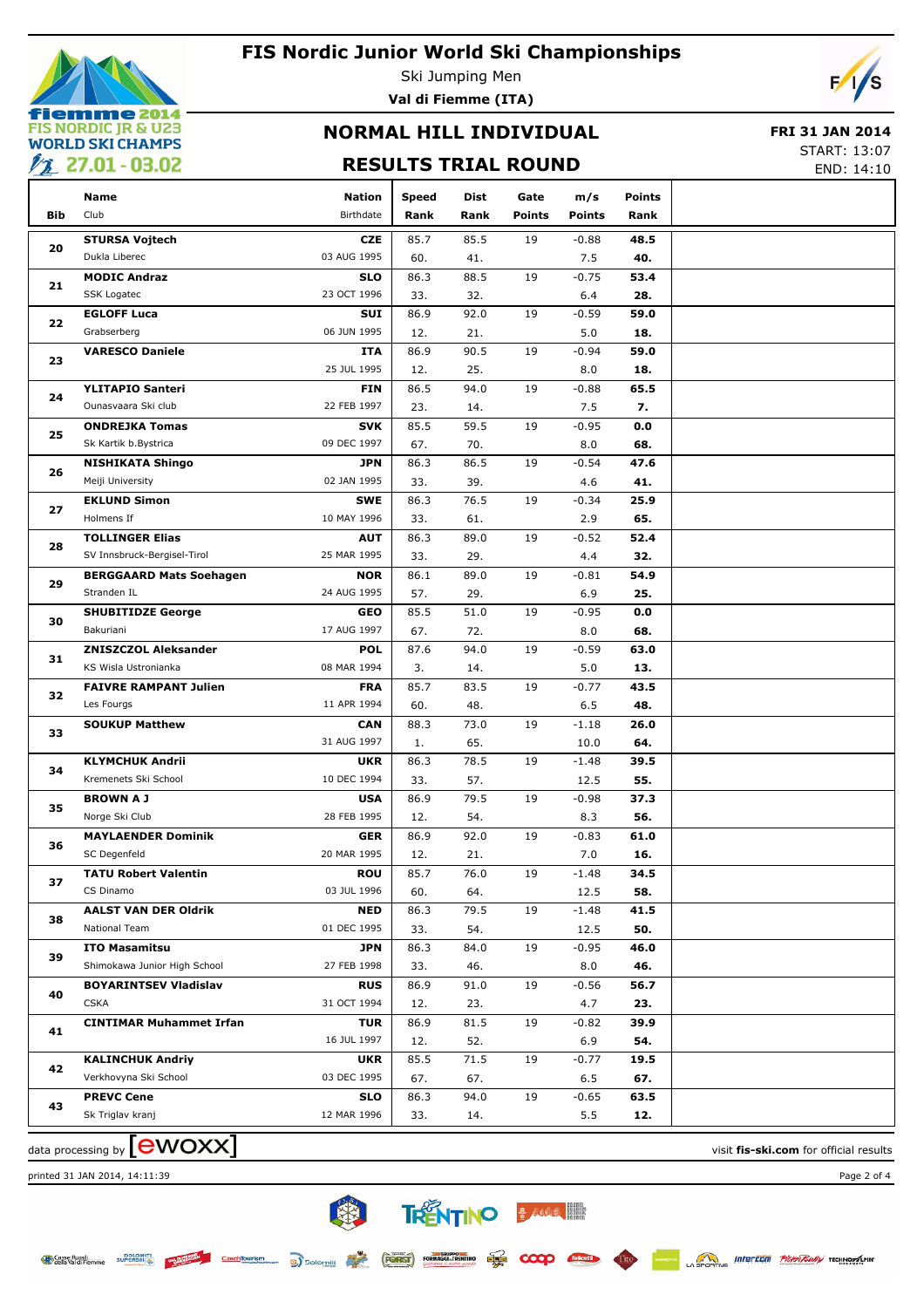

Ski Jumping Men **Val di Fiemme (ITA)**



## **NORMAL HILL INDIVIDUAL**

### **FRI 31 JAN 2014**

### **RESULTS TRIAL ROUND**

START: 13:07

|                | <b>22 27.01 - 03.02</b>        |                                                                                                                                                                                                                                                                                                                                                                                                                                                                                                                                                                                                                                                                                                                                                                                                                                                                                                                                                                                                                                                                                                                                                                                                                                                                                                                                                                                                                                                                                                                                                                                                                                                |              |      |      |                      |                       | END: 14:10 |
|----------------|--------------------------------|------------------------------------------------------------------------------------------------------------------------------------------------------------------------------------------------------------------------------------------------------------------------------------------------------------------------------------------------------------------------------------------------------------------------------------------------------------------------------------------------------------------------------------------------------------------------------------------------------------------------------------------------------------------------------------------------------------------------------------------------------------------------------------------------------------------------------------------------------------------------------------------------------------------------------------------------------------------------------------------------------------------------------------------------------------------------------------------------------------------------------------------------------------------------------------------------------------------------------------------------------------------------------------------------------------------------------------------------------------------------------------------------------------------------------------------------------------------------------------------------------------------------------------------------------------------------------------------------------------------------------------------------|--------------|------|------|----------------------|-----------------------|------------|
| <b>Bib</b>     | <b>Name</b><br>Club            | Nation<br>Birthdate                                                                                                                                                                                                                                                                                                                                                                                                                                                                                                                                                                                                                                                                                                                                                                                                                                                                                                                                                                                                                                                                                                                                                                                                                                                                                                                                                                                                                                                                                                                                                                                                                            | <b>Speed</b> | Dist | Gate | m/s<br><b>Points</b> | <b>Points</b><br>Rank |            |
|                |                                |                                                                                                                                                                                                                                                                                                                                                                                                                                                                                                                                                                                                                                                                                                                                                                                                                                                                                                                                                                                                                                                                                                                                                                                                                                                                                                                                                                                                                                                                                                                                                                                                                                                |              |      |      |                      |                       |            |
| 20             | <b>STURSA Vojtech</b>          |                                                                                                                                                                                                                                                                                                                                                                                                                                                                                                                                                                                                                                                                                                                                                                                                                                                                                                                                                                                                                                                                                                                                                                                                                                                                                                                                                                                                                                                                                                                                                                                                                                                |              |      |      | $-0.88$              | 48.5                  |            |
|                | Dukla Liberec                  | RESULTS TRIAL ROUND<br>Rank<br>Rank<br><b>Points</b><br><b>CZE</b><br>85.7<br>85.5<br>19<br>03 AUG 1995<br>60.<br>41.<br><b>SLO</b><br>86.3<br>88.5<br>19<br>23 OCT 1996<br>33.<br>32.<br>SUI<br>86.9<br>92.0<br>19<br>06 JUN 1995<br>12.<br>21.<br>86.9<br>90.5<br>19<br>ITA<br>25 JUL 1995<br>25.<br>12.<br>86.5<br>94.0<br>19<br><b>FIN</b><br>22 FEB 1997<br>23.<br>14.<br>85.5<br>59.5<br>19<br><b>SVK</b><br>09 DEC 1997<br>70.<br>67.<br>86.3<br>86.5<br>19<br>JPN<br>02 JAN 1995<br>39.<br>33.<br>86.3<br>76.5<br>19<br><b>SWE</b><br>10 MAY 1996<br>33.<br>61.<br>86.3<br>89.0<br>19<br><b>AUT</b><br>25 MAR 1995<br>29.<br>33.<br>86.1<br>89.0<br>19<br><b>NOR</b><br>24 AUG 1995<br>29.<br>57.<br>85.5<br>51.0<br>19<br><b>GEO</b><br>17 AUG 1997<br>67.<br>72.<br><b>POL</b><br>87.6<br>94.0<br>19<br>08 MAR 1994<br>3.<br>14.<br>85.7<br>83.5<br><b>FRA</b><br>19<br>11 APR 1994<br>60.<br>48.<br>73.0<br>19<br><b>CAN</b><br>88.3<br>31 AUG 1997<br>65.<br>1.<br><b>UKR</b><br>86.3<br>78.5<br>19<br>10 DEC 1994<br>57.<br>33.<br><b>USA</b><br>86.9<br>79.5<br>19<br>28 FEB 1995<br>54.<br>12.<br>86.9<br>19<br><b>GER</b><br>92.0<br>20 MAR 1995<br>12.<br>21.<br><b>ROU</b><br>85.7<br>76.0<br>19<br>03 JUL 1996<br>60.<br>64.<br>79.5<br><b>NED</b><br>86.3<br>19<br>01 DEC 1995<br>33.<br>54.<br>JPN<br>86.3<br>84.0<br>19<br>27 FEB 1998<br>33.<br>46.<br><b>RUS</b><br>86.9<br>91.0<br>19<br>31 OCT 1994<br>12.<br>23.<br><b>TUR</b><br>86.9<br>81.5<br>19<br>16 JUL 1997<br>12.<br>52.<br>85.5<br>71.5<br><b>UKR</b><br>19<br>03 DEC 1995<br>67.<br>67.<br><b>SLO</b><br>86.3<br>94.0<br>19<br>12 MAR 1996<br>33.<br>14. | 7.5          | 40.  |      |                      |                       |            |
| 21             | <b>MODIC Andraz</b>            |                                                                                                                                                                                                                                                                                                                                                                                                                                                                                                                                                                                                                                                                                                                                                                                                                                                                                                                                                                                                                                                                                                                                                                                                                                                                                                                                                                                                                                                                                                                                                                                                                                                |              |      |      | $-0.75$              | 53.4                  |            |
|                | SSK Logatec                    |                                                                                                                                                                                                                                                                                                                                                                                                                                                                                                                                                                                                                                                                                                                                                                                                                                                                                                                                                                                                                                                                                                                                                                                                                                                                                                                                                                                                                                                                                                                                                                                                                                                |              |      |      | 6.4                  | 28.                   |            |
| 22             | <b>EGLOFF Luca</b>             |                                                                                                                                                                                                                                                                                                                                                                                                                                                                                                                                                                                                                                                                                                                                                                                                                                                                                                                                                                                                                                                                                                                                                                                                                                                                                                                                                                                                                                                                                                                                                                                                                                                |              |      |      | $-0.59$              | 59.0                  |            |
|                | Grabserberg                    |                                                                                                                                                                                                                                                                                                                                                                                                                                                                                                                                                                                                                                                                                                                                                                                                                                                                                                                                                                                                                                                                                                                                                                                                                                                                                                                                                                                                                                                                                                                                                                                                                                                |              |      |      | 5.0                  | 18.                   |            |
| 23             | <b>VARESCO Daniele</b>         |                                                                                                                                                                                                                                                                                                                                                                                                                                                                                                                                                                                                                                                                                                                                                                                                                                                                                                                                                                                                                                                                                                                                                                                                                                                                                                                                                                                                                                                                                                                                                                                                                                                |              |      |      | $-0.94$              | 59.0                  |            |
|                |                                |                                                                                                                                                                                                                                                                                                                                                                                                                                                                                                                                                                                                                                                                                                                                                                                                                                                                                                                                                                                                                                                                                                                                                                                                                                                                                                                                                                                                                                                                                                                                                                                                                                                |              |      |      | 8.0                  | 18.                   |            |
| 24             | <b>YLITAPIO Santeri</b>        |                                                                                                                                                                                                                                                                                                                                                                                                                                                                                                                                                                                                                                                                                                                                                                                                                                                                                                                                                                                                                                                                                                                                                                                                                                                                                                                                                                                                                                                                                                                                                                                                                                                |              |      |      | $-0.88$              | 65.5                  |            |
|                | Ounasvaara Ski club            |                                                                                                                                                                                                                                                                                                                                                                                                                                                                                                                                                                                                                                                                                                                                                                                                                                                                                                                                                                                                                                                                                                                                                                                                                                                                                                                                                                                                                                                                                                                                                                                                                                                |              |      |      | 7.5                  | 7.                    |            |
| 25             | <b>ONDREJKA Tomas</b>          |                                                                                                                                                                                                                                                                                                                                                                                                                                                                                                                                                                                                                                                                                                                                                                                                                                                                                                                                                                                                                                                                                                                                                                                                                                                                                                                                                                                                                                                                                                                                                                                                                                                |              |      |      | $-0.95$              | 0.0                   |            |
|                | Sk Kartik b.Bystrica           |                                                                                                                                                                                                                                                                                                                                                                                                                                                                                                                                                                                                                                                                                                                                                                                                                                                                                                                                                                                                                                                                                                                                                                                                                                                                                                                                                                                                                                                                                                                                                                                                                                                |              |      |      | 8.0                  | 68.                   |            |
| 26             | <b>NISHIKATA Shingo</b>        |                                                                                                                                                                                                                                                                                                                                                                                                                                                                                                                                                                                                                                                                                                                                                                                                                                                                                                                                                                                                                                                                                                                                                                                                                                                                                                                                                                                                                                                                                                                                                                                                                                                |              |      |      | $-0.54$              | 47.6                  |            |
|                | Meiji University               |                                                                                                                                                                                                                                                                                                                                                                                                                                                                                                                                                                                                                                                                                                                                                                                                                                                                                                                                                                                                                                                                                                                                                                                                                                                                                                                                                                                                                                                                                                                                                                                                                                                |              |      |      | 4.6                  | 41.                   |            |
| 27             | <b>EKLUND Simon</b>            |                                                                                                                                                                                                                                                                                                                                                                                                                                                                                                                                                                                                                                                                                                                                                                                                                                                                                                                                                                                                                                                                                                                                                                                                                                                                                                                                                                                                                                                                                                                                                                                                                                                |              |      |      | $-0.34$              | 25.9                  |            |
|                | Holmens If                     |                                                                                                                                                                                                                                                                                                                                                                                                                                                                                                                                                                                                                                                                                                                                                                                                                                                                                                                                                                                                                                                                                                                                                                                                                                                                                                                                                                                                                                                                                                                                                                                                                                                |              |      |      | 2.9                  | 65.                   |            |
| 28             | <b>TOLLINGER Elias</b>         |                                                                                                                                                                                                                                                                                                                                                                                                                                                                                                                                                                                                                                                                                                                                                                                                                                                                                                                                                                                                                                                                                                                                                                                                                                                                                                                                                                                                                                                                                                                                                                                                                                                |              |      |      | $-0.52$              | 52.4                  |            |
|                | SV Innsbruck-Bergisel-Tirol    |                                                                                                                                                                                                                                                                                                                                                                                                                                                                                                                                                                                                                                                                                                                                                                                                                                                                                                                                                                                                                                                                                                                                                                                                                                                                                                                                                                                                                                                                                                                                                                                                                                                |              |      |      | 4.4                  | 32.                   |            |
| 29<br>30<br>31 | <b>BERGGAARD Mats Soehagen</b> |                                                                                                                                                                                                                                                                                                                                                                                                                                                                                                                                                                                                                                                                                                                                                                                                                                                                                                                                                                                                                                                                                                                                                                                                                                                                                                                                                                                                                                                                                                                                                                                                                                                |              |      |      | $-0.81$              | 54.9                  |            |
|                | Stranden IL                    |                                                                                                                                                                                                                                                                                                                                                                                                                                                                                                                                                                                                                                                                                                                                                                                                                                                                                                                                                                                                                                                                                                                                                                                                                                                                                                                                                                                                                                                                                                                                                                                                                                                |              |      |      | 6.9                  | 25.                   |            |
|                | <b>SHUBITIDZE George</b>       |                                                                                                                                                                                                                                                                                                                                                                                                                                                                                                                                                                                                                                                                                                                                                                                                                                                                                                                                                                                                                                                                                                                                                                                                                                                                                                                                                                                                                                                                                                                                                                                                                                                |              |      |      | $-0.95$              | 0.0                   |            |
|                | Bakuriani                      |                                                                                                                                                                                                                                                                                                                                                                                                                                                                                                                                                                                                                                                                                                                                                                                                                                                                                                                                                                                                                                                                                                                                                                                                                                                                                                                                                                                                                                                                                                                                                                                                                                                |              |      |      | 8.0                  | 68.                   |            |
|                | <b>ZNISZCZOL Aleksander</b>    |                                                                                                                                                                                                                                                                                                                                                                                                                                                                                                                                                                                                                                                                                                                                                                                                                                                                                                                                                                                                                                                                                                                                                                                                                                                                                                                                                                                                                                                                                                                                                                                                                                                |              |      |      | $-0.59$              | 63.0                  |            |
|                | KS Wisla Ustronianka           |                                                                                                                                                                                                                                                                                                                                                                                                                                                                                                                                                                                                                                                                                                                                                                                                                                                                                                                                                                                                                                                                                                                                                                                                                                                                                                                                                                                                                                                                                                                                                                                                                                                |              |      |      | 5.0                  | 13.                   |            |
| 32             | <b>FAIVRE RAMPANT Julien</b>   |                                                                                                                                                                                                                                                                                                                                                                                                                                                                                                                                                                                                                                                                                                                                                                                                                                                                                                                                                                                                                                                                                                                                                                                                                                                                                                                                                                                                                                                                                                                                                                                                                                                |              |      |      | $-0.77$              | 43.5                  |            |
|                | Les Fourgs                     |                                                                                                                                                                                                                                                                                                                                                                                                                                                                                                                                                                                                                                                                                                                                                                                                                                                                                                                                                                                                                                                                                                                                                                                                                                                                                                                                                                                                                                                                                                                                                                                                                                                |              |      |      | 6.5                  | 48.                   |            |
| 33             | <b>SOUKUP Matthew</b>          |                                                                                                                                                                                                                                                                                                                                                                                                                                                                                                                                                                                                                                                                                                                                                                                                                                                                                                                                                                                                                                                                                                                                                                                                                                                                                                                                                                                                                                                                                                                                                                                                                                                |              |      |      | $-1.18$              | 26.0                  |            |
|                |                                |                                                                                                                                                                                                                                                                                                                                                                                                                                                                                                                                                                                                                                                                                                                                                                                                                                                                                                                                                                                                                                                                                                                                                                                                                                                                                                                                                                                                                                                                                                                                                                                                                                                |              |      |      | 10.0                 | 64.                   |            |
|                | <b>KLYMCHUK Andrii</b>         |                                                                                                                                                                                                                                                                                                                                                                                                                                                                                                                                                                                                                                                                                                                                                                                                                                                                                                                                                                                                                                                                                                                                                                                                                                                                                                                                                                                                                                                                                                                                                                                                                                                |              |      |      | $-1.48$              | 39.5                  |            |
| 34             | Kremenets Ski School           |                                                                                                                                                                                                                                                                                                                                                                                                                                                                                                                                                                                                                                                                                                                                                                                                                                                                                                                                                                                                                                                                                                                                                                                                                                                                                                                                                                                                                                                                                                                                                                                                                                                |              |      |      | 12.5                 | 55.                   |            |
|                | <b>BROWN A J</b>               |                                                                                                                                                                                                                                                                                                                                                                                                                                                                                                                                                                                                                                                                                                                                                                                                                                                                                                                                                                                                                                                                                                                                                                                                                                                                                                                                                                                                                                                                                                                                                                                                                                                |              |      |      | $-0.98$              | 37.3                  |            |
| 35             | Norge Ski Club                 |                                                                                                                                                                                                                                                                                                                                                                                                                                                                                                                                                                                                                                                                                                                                                                                                                                                                                                                                                                                                                                                                                                                                                                                                                                                                                                                                                                                                                                                                                                                                                                                                                                                |              |      |      | 8.3                  | 56.                   |            |
|                | <b>MAYLAENDER Dominik</b>      |                                                                                                                                                                                                                                                                                                                                                                                                                                                                                                                                                                                                                                                                                                                                                                                                                                                                                                                                                                                                                                                                                                                                                                                                                                                                                                                                                                                                                                                                                                                                                                                                                                                |              |      |      | $-0.83$              | 61.0                  |            |
| 36             | SC Degenfeld                   |                                                                                                                                                                                                                                                                                                                                                                                                                                                                                                                                                                                                                                                                                                                                                                                                                                                                                                                                                                                                                                                                                                                                                                                                                                                                                                                                                                                                                                                                                                                                                                                                                                                |              |      |      | 7.0                  | 16.                   |            |
|                | <b>TATU Robert Valentin</b>    |                                                                                                                                                                                                                                                                                                                                                                                                                                                                                                                                                                                                                                                                                                                                                                                                                                                                                                                                                                                                                                                                                                                                                                                                                                                                                                                                                                                                                                                                                                                                                                                                                                                |              |      |      | $-1.48$              | 34.5                  |            |
| 37             | CS Dinamo                      |                                                                                                                                                                                                                                                                                                                                                                                                                                                                                                                                                                                                                                                                                                                                                                                                                                                                                                                                                                                                                                                                                                                                                                                                                                                                                                                                                                                                                                                                                                                                                                                                                                                |              |      |      | 12.5                 | 58.                   |            |
|                | <b>AALST VAN DER Oldrik</b>    |                                                                                                                                                                                                                                                                                                                                                                                                                                                                                                                                                                                                                                                                                                                                                                                                                                                                                                                                                                                                                                                                                                                                                                                                                                                                                                                                                                                                                                                                                                                                                                                                                                                |              |      |      | $-1.48$              | 41.5                  |            |
| 38             | National Team                  |                                                                                                                                                                                                                                                                                                                                                                                                                                                                                                                                                                                                                                                                                                                                                                                                                                                                                                                                                                                                                                                                                                                                                                                                                                                                                                                                                                                                                                                                                                                                                                                                                                                |              |      |      | 12.5                 | 50.                   |            |
|                | <b>ITO Masamitsu</b>           |                                                                                                                                                                                                                                                                                                                                                                                                                                                                                                                                                                                                                                                                                                                                                                                                                                                                                                                                                                                                                                                                                                                                                                                                                                                                                                                                                                                                                                                                                                                                                                                                                                                |              |      |      | $-0.95$              | 46.0                  |            |
| 39             | Shimokawa Junior High School   |                                                                                                                                                                                                                                                                                                                                                                                                                                                                                                                                                                                                                                                                                                                                                                                                                                                                                                                                                                                                                                                                                                                                                                                                                                                                                                                                                                                                                                                                                                                                                                                                                                                |              |      |      | 8.0                  | 46.                   |            |
|                | <b>BOYARINTSEV Vladislav</b>   |                                                                                                                                                                                                                                                                                                                                                                                                                                                                                                                                                                                                                                                                                                                                                                                                                                                                                                                                                                                                                                                                                                                                                                                                                                                                                                                                                                                                                                                                                                                                                                                                                                                |              |      |      | $-0.56$              | 56.7                  |            |
| 40             | <b>CSKA</b>                    |                                                                                                                                                                                                                                                                                                                                                                                                                                                                                                                                                                                                                                                                                                                                                                                                                                                                                                                                                                                                                                                                                                                                                                                                                                                                                                                                                                                                                                                                                                                                                                                                                                                |              |      |      |                      |                       |            |
|                |                                |                                                                                                                                                                                                                                                                                                                                                                                                                                                                                                                                                                                                                                                                                                                                                                                                                                                                                                                                                                                                                                                                                                                                                                                                                                                                                                                                                                                                                                                                                                                                                                                                                                                |              |      |      | 4.7                  | 23.                   |            |
| 41             | <b>CINTIMAR Muhammet Irfan</b> |                                                                                                                                                                                                                                                                                                                                                                                                                                                                                                                                                                                                                                                                                                                                                                                                                                                                                                                                                                                                                                                                                                                                                                                                                                                                                                                                                                                                                                                                                                                                                                                                                                                |              |      |      | $-0.82$              | 39.9                  |            |
|                |                                |                                                                                                                                                                                                                                                                                                                                                                                                                                                                                                                                                                                                                                                                                                                                                                                                                                                                                                                                                                                                                                                                                                                                                                                                                                                                                                                                                                                                                                                                                                                                                                                                                                                |              |      |      | 6.9                  | 54.                   |            |
| 42             | <b>KALINCHUK Andriy</b>        |                                                                                                                                                                                                                                                                                                                                                                                                                                                                                                                                                                                                                                                                                                                                                                                                                                                                                                                                                                                                                                                                                                                                                                                                                                                                                                                                                                                                                                                                                                                                                                                                                                                |              |      |      | $-0.77$              | 19.5                  |            |
|                | Verkhovyna Ski School          |                                                                                                                                                                                                                                                                                                                                                                                                                                                                                                                                                                                                                                                                                                                                                                                                                                                                                                                                                                                                                                                                                                                                                                                                                                                                                                                                                                                                                                                                                                                                                                                                                                                |              |      |      | 6.5                  | 67.                   |            |
| 43             | <b>PREVC Cene</b>              |                                                                                                                                                                                                                                                                                                                                                                                                                                                                                                                                                                                                                                                                                                                                                                                                                                                                                                                                                                                                                                                                                                                                                                                                                                                                                                                                                                                                                                                                                                                                                                                                                                                |              |      |      | $-0.65$              | 63.5                  |            |
|                | Sk Triglav kranj               |                                                                                                                                                                                                                                                                                                                                                                                                                                                                                                                                                                                                                                                                                                                                                                                                                                                                                                                                                                                                                                                                                                                                                                                                                                                                                                                                                                                                                                                                                                                                                                                                                                                |              |      |      | 5.5                  | 12.                   |            |

**TRENTINO & MAN IN** 

**PLUS** 

 $\infty$ 

美

CzechTourism a Dolomiti (FORST) FORMAGGLERENTING

data processing by **COVOXX** and the visit **fis-ski.com** for official results

printed 31 JAN 2014, 14:11:39 Page 2 of 4

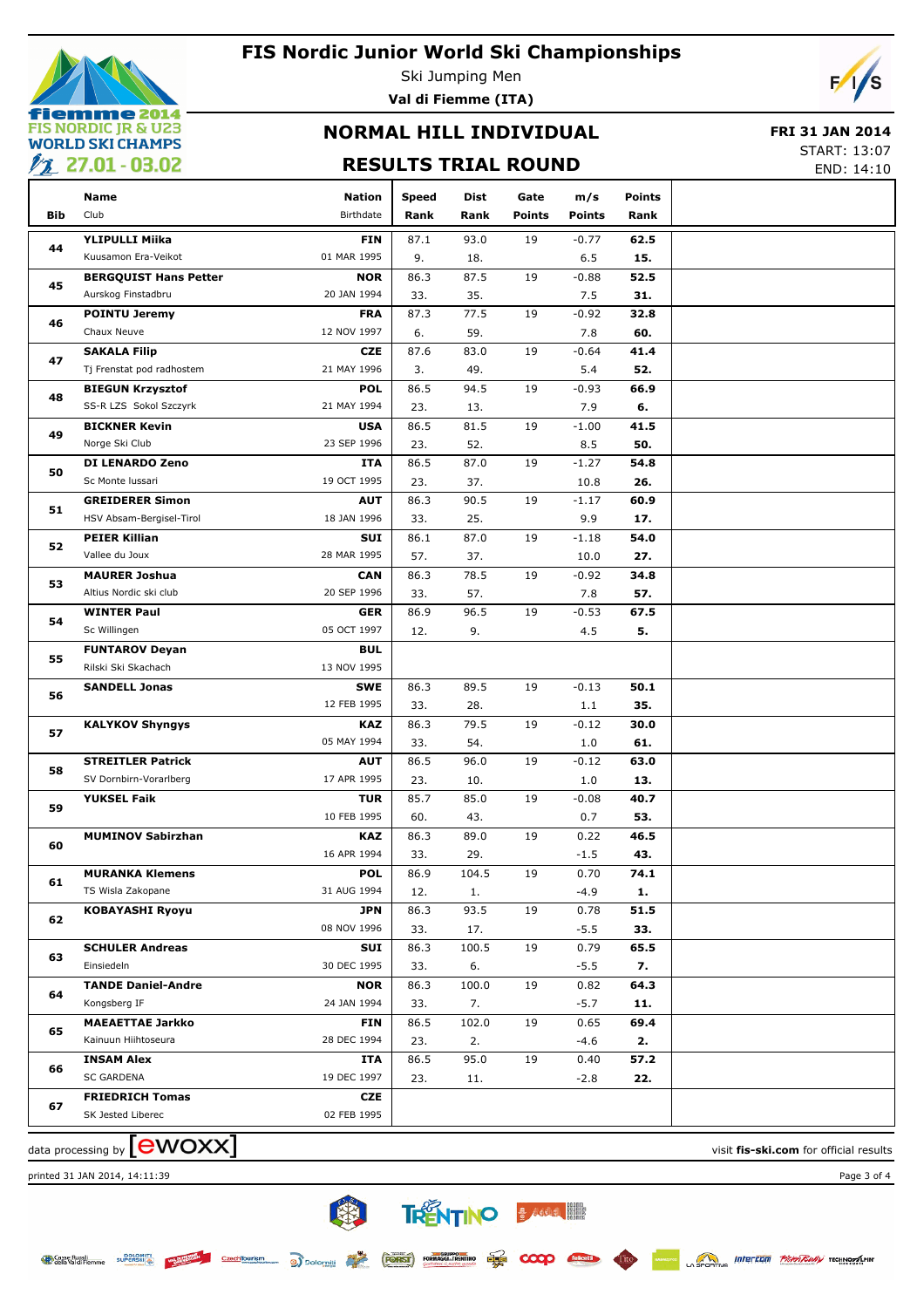

Ski Jumping Men

**Val di Fiemme (ITA)**

# $\sqrt{2}$

# **NORMAL HILL INDIVIDUAL**

### **FRI 31 JAN 2014**

## **RESULTS TRIAL ROUND**

START: 13:07

END: 14:10

|     | Name                         | Nation      | <b>Speed</b> | Dist  | Gate          | m/s           | <b>Points</b> |  |
|-----|------------------------------|-------------|--------------|-------|---------------|---------------|---------------|--|
| Bib | Club                         | Birthdate   | Rank         | Rank  | <b>Points</b> | <b>Points</b> | Rank          |  |
| 44  | <b>YLIPULLI Miika</b>        | <b>FIN</b>  | 87.1         | 93.0  | 19            | $-0.77$       | 62.5          |  |
|     | Kuusamon Era-Veikot          | 01 MAR 1995 | 9.           | 18.   |               | 6.5           | 15.           |  |
| 45  | <b>BERGQUIST Hans Petter</b> | <b>NOR</b>  | 86.3         | 87.5  | 19            | $-0.88$       | 52.5          |  |
|     | Aurskog Finstadbru           | 20 JAN 1994 | 33.          | 35.   |               | 7.5           | 31.           |  |
| 46  | <b>POINTU Jeremy</b>         | <b>FRA</b>  | 87.3         | 77.5  | 19            | $-0.92$       | 32.8          |  |
|     | Chaux Neuve                  | 12 NOV 1997 | 6.           | 59.   |               | 7.8           | 60.           |  |
| 47  | <b>SAKALA Filip</b>          | <b>CZE</b>  | 87.6         | 83.0  | 19            | $-0.64$       | 41.4          |  |
|     | Tj Frenstat pod radhostem    | 21 MAY 1996 | 3.           | 49.   |               | 5.4           | 52.           |  |
| 48  | <b>BIEGUN Krzysztof</b>      | <b>POL</b>  | 86.5         | 94.5  | 19            | $-0.93$       | 66.9          |  |
|     | SS-R LZS Sokol Szczyrk       | 21 MAY 1994 | 23.          | 13.   |               | 7.9           | 6.            |  |
| 49  | <b>BICKNER Kevin</b>         | <b>USA</b>  | 86.5         | 81.5  | 19            | $-1.00$       | 41.5          |  |
|     | Norge Ski Club               | 23 SEP 1996 | 23.          | 52.   |               | 8.5           | 50.           |  |
| 50  | DI LENARDO Zeno              | ITA         | 86.5         | 87.0  | 19            | $-1.27$       | 54.8          |  |
|     | Sc Monte Iussari             | 19 OCT 1995 | 23.          | 37.   |               | 10.8          | 26.           |  |
| 51  | <b>GREIDERER Simon</b>       | <b>AUT</b>  | 86.3         | 90.5  | 19            | $-1.17$       | 60.9          |  |
|     | HSV Absam-Bergisel-Tirol     | 18 JAN 1996 | 33.          | 25.   |               | 9.9           | 17.           |  |
|     | <b>PEIER Killian</b>         | SUI         | 86.1         | 87.0  | 19            | $-1.18$       | 54.0          |  |
| 52  | Vallee du Joux               | 28 MAR 1995 | 57.          | 37.   |               | 10.0          | 27.           |  |
|     | <b>MAURER Joshua</b>         | <b>CAN</b>  | 86.3         | 78.5  | 19            | $-0.92$       | 34.8          |  |
| 53  | Altius Nordic ski club       | 20 SEP 1996 | 33.          | 57.   |               | 7.8           | 57.           |  |
|     | <b>WINTER Paul</b>           | <b>GER</b>  | 86.9         | 96.5  | 19            | $-0.53$       | 67.5          |  |
| 54  | Sc Willingen                 | 05 OCT 1997 | 12.          | 9.    |               | 4.5           | 5.            |  |
| 55  | <b>FUNTAROV Deyan</b>        | <b>BUL</b>  |              |       |               |               |               |  |
|     | Rilski Ski Skachach          | 13 NOV 1995 |              |       |               |               |               |  |
| 56  | <b>SANDELL Jonas</b>         | <b>SWE</b>  | 86.3         | 89.5  | 19            | $-0.13$       | 50.1          |  |
|     |                              | 12 FEB 1995 | 33.          | 28.   |               | 1.1           | 35.           |  |
| 57  | <b>KALYKOV Shyngys</b>       | <b>KAZ</b>  | 86.3         | 79.5  | 19            | $-0.12$       | 30.0          |  |
|     |                              | 05 MAY 1994 | 33.          | 54.   |               | 1.0           | 61.           |  |
| 58  | <b>STREITLER Patrick</b>     | <b>AUT</b>  | 86.5         | 96.0  | 19            | $-0.12$       | 63.0          |  |
|     | SV Dornbirn-Vorarlberg       | 17 APR 1995 | 23.          | 10.   |               | 1.0           | 13.           |  |
| 59  | <b>YUKSEL Faik</b>           | <b>TUR</b>  | 85.7         | 85.0  | 19            | $-0.08$       | 40.7          |  |
|     |                              | 10 FEB 1995 | 60.          | 43.   |               | 0.7           | 53.           |  |
| 60  | <b>MUMINOV Sabirzhan</b>     | <b>KAZ</b>  | 86.3         | 89.0  | 19            | 0.22          | 46.5          |  |
|     |                              | 16 APR 1994 | 33.          | 29.   |               | $-1.5$        | 43.           |  |
| 61  | <b>MURANKA Klemens</b>       | <b>POL</b>  | 86.9         | 104.5 | 19            | 0.70          | 74.1          |  |
|     | TS Wisla Zakopane            | 31 AUG 1994 | 12.          | 1.    |               | $-4.9$        | 1.            |  |
| 62  | <b>KOBAYASHI Ryoyu</b>       | <b>JPN</b>  | 86.3         | 93.5  | 19            | 0.78          | 51.5          |  |
|     |                              | 08 NOV 1996 | 33.          | 17.   |               | $-5.5$        | 33.           |  |
| 63  | <b>SCHULER Andreas</b>       | SUI         | 86.3         | 100.5 | 19            | 0.79          | 65.5          |  |
|     | Einsiedeln                   | 30 DEC 1995 | 33.          | 6.    |               | $-5.5$        | 7.            |  |
| 64  | <b>TANDE Daniel-Andre</b>    | <b>NOR</b>  | 86.3         | 100.0 | 19            | 0.82          | 64.3          |  |
|     | Kongsberg IF                 | 24 JAN 1994 | 33.          | 7.    |               | $-5.7$        | 11.           |  |
| 65  | <b>MAEAETTAE Jarkko</b>      | FIN         | 86.5         | 102.0 | 19            | 0.65          | 69.4          |  |
|     | Kainuun Hiihtoseura          | 28 DEC 1994 | 23.          | 2.    |               | -4.6          | 2.            |  |
| 66  | <b>INSAM Alex</b>            | ITA         | 86.5         | 95.0  | 19            | 0.40          | 57.2          |  |
|     | SC GARDENA                   | 19 DEC 1997 | 23.          | 11.   |               | $-2.8$        | 22.           |  |
| 67  | <b>FRIEDRICH Tomas</b>       | CZE         |              |       |               |               |               |  |
|     | SK Jested Liberec            | 02 FEB 1995 |              |       |               |               |               |  |
|     |                              |             |              |       |               |               |               |  |

类

CrechTourism and Dolomiti Constitution Reserved Property

**TRENTINO BARRA EN** 

**PLIS** 

 $\alpha$ 

data processing by **COVOXX** and the visit **fis-ski.com** for official results

printed 31 JAN 2014, 14:11:39 Page 3 of 4



**SPORTING INTEREDUIT PROPERTING TECHNOLOGY**